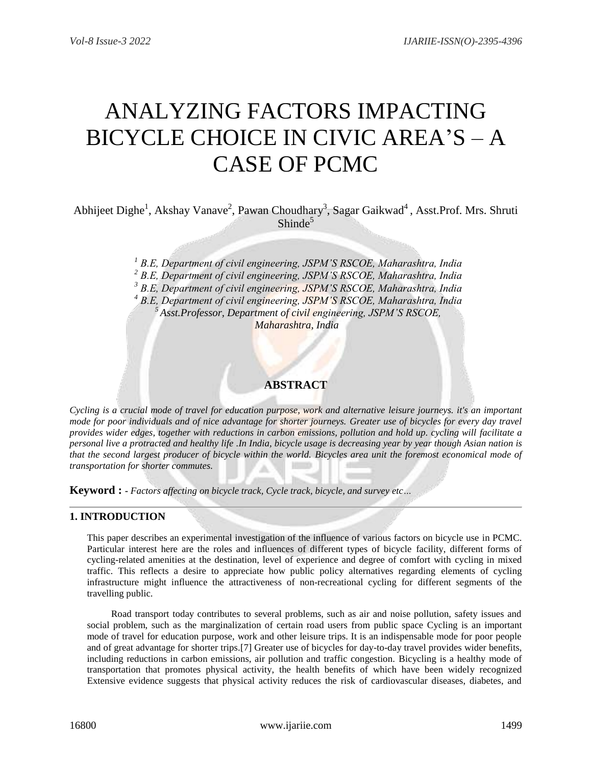# ANALYZING FACTORS IMPACTING BICYCLE CHOICE IN CIVIC AREA'S – A CASE OF PCMC

Abhijeet Dighe<sup>1</sup>, Akshay Vanave<sup>2</sup>, Pawan Choudhary<sup>3</sup>, Sagar Gaikwad<sup>4</sup>, Asst.Prof. Mrs. Shruti  $Shinde<sup>5</sup>$ 

> *B.E, Department of civil engineering, JSPM'S RSCOE, Maharashtra, India B.E, Department of civil engineering, JSPM'S RSCOE, Maharashtra, India B.E, Department of civil engineering, JSPM'S RSCOE, Maharashtra, India B.E, Department of civil engineering, JSPM'S RSCOE, Maharashtra, India Asst.Professor, Department of civil engineering, JSPM'S RSCOE, Maharashtra, India*

# **ABSTRACT**

*Cycling is a crucial mode of travel for education purpose, work and alternative leisure journeys. it's an important mode for poor individuals and of nice advantage for shorter journeys. Greater use of bicycles for every day travel provides wider edges, together with reductions in carbon emissions, pollution and hold up. cycling will facilitate a personal live a protracted and healthy life .In India, bicycle usage is decreasing year by year though Asian nation is that the second largest producer of bicycle within the world. Bicycles area unit the foremost economical mode of transportation for shorter commutes.*

**Keyword : -** *Factors affecting on bicycle track, Cycle track, bicycle, and survey etc…*

# **1. INTRODUCTION**

This paper describes an experimental investigation of the influence of various factors on bicycle use in PCMC. Particular interest here are the roles and influences of different types of bicycle facility, different forms of cycling-related amenities at the destination, level of experience and degree of comfort with cycling in mixed traffic. This reflects a desire to appreciate how public policy alternatives regarding elements of cycling infrastructure might influence the attractiveness of non-recreational cycling for different segments of the travelling public.

 Road transport today contributes to several problems, such as air and noise pollution, safety issues and social problem, such as the marginalization of certain road users from public space Cycling is an important mode of travel for education purpose, work and other leisure trips. It is an indispensable mode for poor people and of great advantage for shorter trips.[7] Greater use of bicycles for day-to-day travel provides wider benefits, including reductions in carbon emissions, air pollution and traffic congestion. Bicycling is a healthy mode of transportation that promotes physical activity, the health benefits of which have been widely recognized Extensive evidence suggests that physical activity reduces the risk of cardiovascular diseases, diabetes, and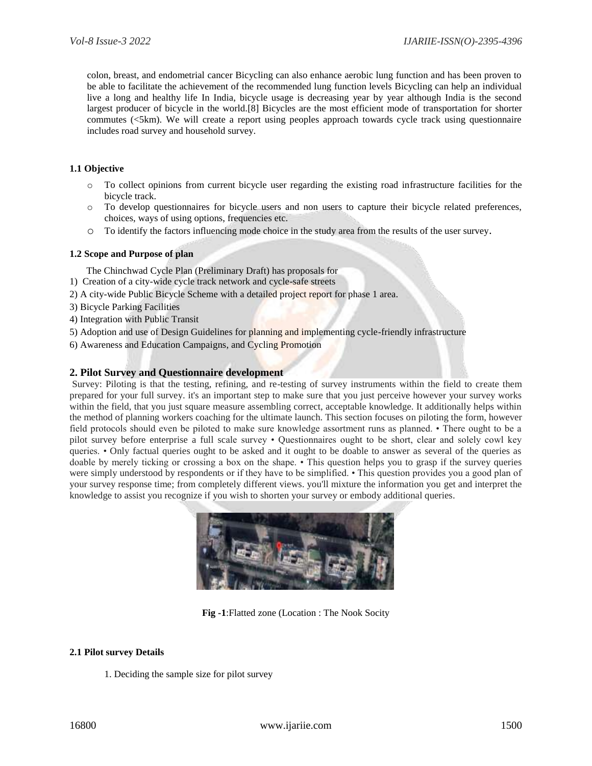colon, breast, and endometrial cancer Bicycling can also enhance aerobic lung function and has been proven to be able to facilitate the achievement of the recommended lung function levels Bicycling can help an individual live a long and healthy life In India, bicycle usage is decreasing year by year although India is the second largest producer of bicycle in the world.[8] Bicycles are the most efficient mode of transportation for shorter commutes (<5km). We will create a report using peoples approach towards cycle track using questionnaire includes road survey and household survey.

#### **1.1 Objective**

- o To collect opinions from current bicycle user regarding the existing road infrastructure facilities for the bicycle track.
- o To develop questionnaires for bicycle users and non users to capture their bicycle related preferences, choices, ways of using options, frequencies etc.
- o To identify the factors influencing mode choice in the study area from the results of the user survey.

#### **1.2 Scope and Purpose of plan**

The Chinchwad Cycle Plan (Preliminary Draft) has proposals for

- 1) Creation of a city-wide cycle track network and cycle-safe streets
- 2) A city-wide Public Bicycle Scheme with a detailed project report for phase 1 area.
- 3) Bicycle Parking Facilities
- 4) Integration with Public Transit
- 5) Adoption and use of Design Guidelines for planning and implementing cycle-friendly infrastructure
- 6) Awareness and Education Campaigns, and Cycling Promotion

#### **2. Pilot Survey and Questionnaire development**

Survey: Piloting is that the testing, refining, and re-testing of survey instruments within the field to create them prepared for your full survey. it's an important step to make sure that you just perceive however your survey works within the field, that you just square measure assembling correct, acceptable knowledge. It additionally helps within the method of planning workers coaching for the ultimate launch. This section focuses on piloting the form, however field protocols should even be piloted to make sure knowledge assortment runs as planned. • There ought to be a pilot survey before enterprise a full scale survey • Questionnaires ought to be short, clear and solely cowl key queries. • Only factual queries ought to be asked and it ought to be doable to answer as several of the queries as doable by merely ticking or crossing a box on the shape. • This question helps you to grasp if the survey queries were simply understood by respondents or if they have to be simplified. • This question provides you a good plan of your survey response time; from completely different views. you'll mixture the information you get and interpret the knowledge to assist you recognize if you wish to shorten your survey or embody additional queries.



**Fig -1**:Flatted zone (Location : The Nook Socity

#### **2.1 Pilot survey Details**

1. Deciding the sample size for pilot survey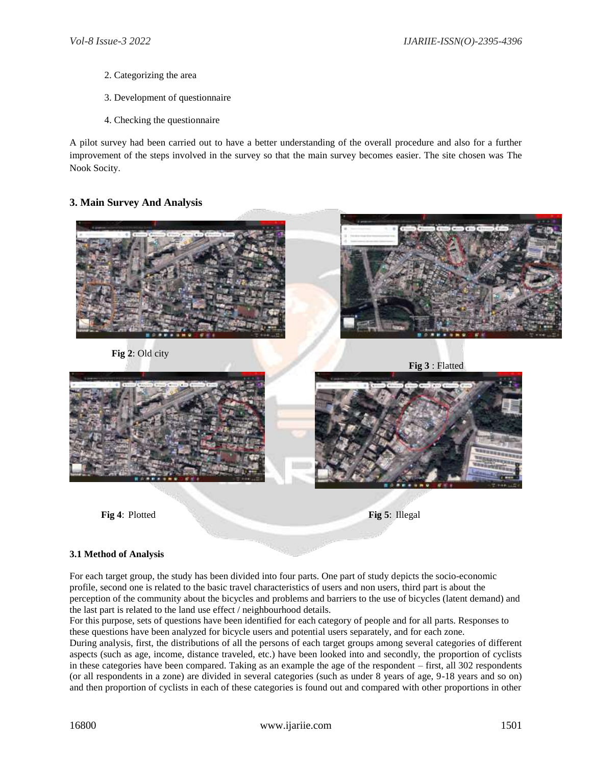- 2. Categorizing the area
- 3. Development of questionnaire
- 4. Checking the questionnaire

A pilot survey had been carried out to have a better understanding of the overall procedure and also for a further improvement of the steps involved in the survey so that the main survey becomes easier. The site chosen was The Nook Socity.

# **3. Main Survey And Analysis**



#### **3.1 Method of Analysis**

For each target group, the study has been divided into four parts. One part of study depicts the socio-economic profile, second one is related to the basic travel characteristics of users and non users, third part is about the perception of the community about the bicycles and problems and barriers to the use of bicycles (latent demand) and the last part is related to the land use effect / neighbourhood details.

For this purpose, sets of questions have been identified for each category of people and for all parts. Responses to these questions have been analyzed for bicycle users and potential users separately, and for each zone.

During analysis, first, the distributions of all the persons of each target groups among several categories of different aspects (such as age, income, distance traveled, etc.) have been looked into and secondly, the proportion of cyclists in these categories have been compared. Taking as an example the age of the respondent – first, all 302 respondents (or all respondents in a zone) are divided in several categories (such as under 8 years of age, 9-18 years and so on) and then proportion of cyclists in each of these categories is found out and compared with other proportions in other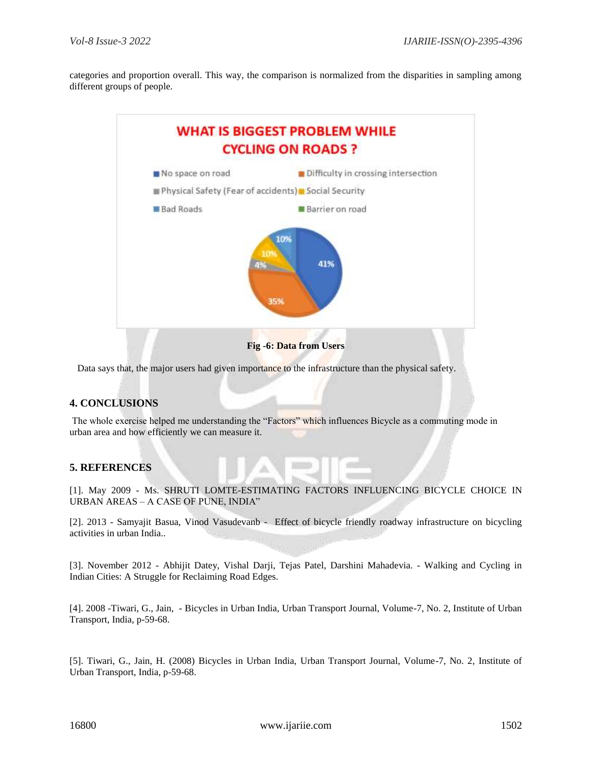categories and proportion overall. This way, the comparison is normalized from the disparities in sampling among different groups of people.



Data says that, the major users had given importance to the infrastructure than the physical safety.

# **4. CONCLUSIONS**

The whole exercise helped me understanding the "Factors" which influences Bicycle as a commuting mode in urban area and how efficiently we can measure it.

#### **5. REFERENCES**

[1]. May 2009 - Ms. SHRUTI LOMTE-ESTIMATING FACTORS INFLUENCING BICYCLE CHOICE IN URBAN AREAS – A CASE OF PUNE, INDIA"

[2]. 2013 - Samyajit Basua, Vinod Vasudevanb - Effect of bicycle friendly roadway infrastructure on bicycling activities in urban India..

[3]. November 2012 - Abhijit Datey, Vishal Darji, Tejas Patel, Darshini Mahadevia. - Walking and Cycling in Indian Cities: A Struggle for Reclaiming Road Edges.

[4]. 2008 -Tiwari, G., Jain, - Bicycles in Urban India, Urban Transport Journal, Volume-7, No. 2, Institute of Urban Transport, India, p-59-68.

[5]. Tiwari, G., Jain, H. (2008) Bicycles in Urban India, Urban Transport Journal, Volume-7, No. 2, Institute of Urban Transport, India, p-59-68.